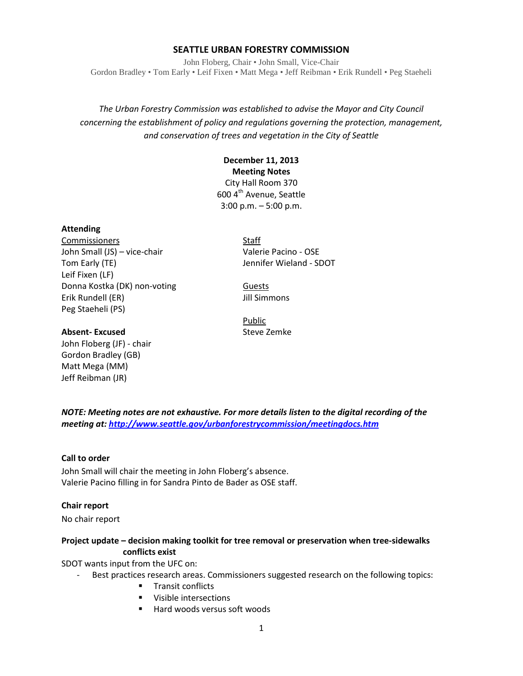#### **SEATTLE URBAN FORESTRY COMMISSION**

John Floberg, Chair • John Small, Vice-Chair Gordon Bradley • Tom Early • Leif Fixen • Matt Mega • Jeff Reibman • Erik Rundell • Peg Staeheli

*The Urban Forestry Commission was established to advise the Mayor and City Council concerning the establishment of policy and regulations governing the protection, management, and conservation of trees and vegetation in the City of Seattle*

## **December 11, 2013 Meeting Notes**

City Hall Room 370 600 4<sup>th</sup> Avenue, Seattle 3:00 p.m. – 5:00 p.m.

#### **Attending**

Commissioners Staff John Small (JS) – vice-chair Valerie Pacino - OSE Tom Early (TE) **Internal Contract Contract Contract Contract Contract Contract Contract Contract Contract Contract Contract Contract Contract Contract Contract Contract Contract Contract Contract Contract Contract Contract** Leif Fixen (LF) Donna Kostka (DK) non-voting Guests Erik Rundell (ER) Jill Simmons Peg Staeheli (PS)

Public

#### **Absent-Excused** Steve Zemke

John Floberg (JF) - chair Gordon Bradley (GB) Matt Mega (MM) Jeff Reibman (JR)

*NOTE: Meeting notes are not exhaustive. For more details listen to the digital recording of the meeting at[: http://www.seattle.gov/urbanforestrycommission/meetingdocs.htm](http://www.seattle.gov/urbanforestrycommission/meetingdocs.htm)*

#### **Call to order**

John Small will chair the meeting in John Floberg's absence. Valerie Pacino filling in for Sandra Pinto de Bader as OSE staff.

#### **Chair report**

No chair report

#### **Project update – decision making toolkit for tree removal or preservation when tree-sidewalks conflicts exist**

SDOT wants input from the UFC on:

Best practices research areas. Commissioners suggested research on the following topics:

- **Transit conflicts**
- **•** Visible intersections
- Hard woods versus soft woods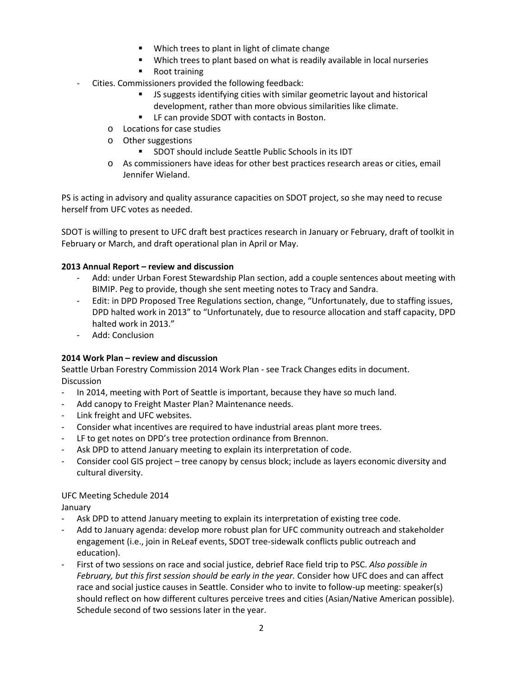- **Which trees to plant in light of climate change**
- Which trees to plant based on what is readily available in local nurseries
- **Root training**
- Cities. Commissioners provided the following feedback:
	- JS suggests identifying cities with similar geometric layout and historical development, rather than more obvious similarities like climate.
	- LF can provide SDOT with contacts in Boston.
	- o Locations for case studies
	- o Other suggestions
		- SDOT should include Seattle Public Schools in its IDT
	- o As commissioners have ideas for other best practices research areas or cities, email Jennifer Wieland.

PS is acting in advisory and quality assurance capacities on SDOT project, so she may need to recuse herself from UFC votes as needed.

SDOT is willing to present to UFC draft best practices research in January or February, draft of toolkit in February or March, and draft operational plan in April or May.

#### **2013 Annual Report – review and discussion**

- Add: under Urban Forest Stewardship Plan section, add a couple sentences about meeting with BIMIP. Peg to provide, though she sent meeting notes to Tracy and Sandra.
- Edit: in DPD Proposed Tree Regulations section, change, "Unfortunately, due to staffing issues, DPD halted work in 2013" to "Unfortunately, due to resource allocation and staff capacity, DPD halted work in 2013."
- Add: Conclusion

#### **2014 Work Plan – review and discussion**

Seattle Urban Forestry Commission 2014 Work Plan - see Track Changes edits in document. **Discussion** 

- In 2014, meeting with Port of Seattle is important, because they have so much land.
- Add canopy to Freight Master Plan? Maintenance needs.
- Link freight and UFC websites.
- Consider what incentives are required to have industrial areas plant more trees.
- LF to get notes on DPD's tree protection ordinance from Brennon.
- Ask DPD to attend January meeting to explain its interpretation of code.
- Consider cool GIS project tree canopy by census block; include as layers economic diversity and cultural diversity.

#### UFC Meeting Schedule 2014

January

- Ask DPD to attend January meeting to explain its interpretation of existing tree code.
- Add to January agenda: develop more robust plan for UFC community outreach and stakeholder engagement (i.e., join in ReLeaf events, SDOT tree-sidewalk conflicts public outreach and education).
- First of two sessions on race and social justice, debrief Race field trip to PSC. *Also possible in February, but this first session should be early in the year.* Consider how UFC does and can affect race and social justice causes in Seattle. Consider who to invite to follow-up meeting: speaker(s) should reflect on how different cultures perceive trees and cities (Asian/Native American possible). Schedule second of two sessions later in the year.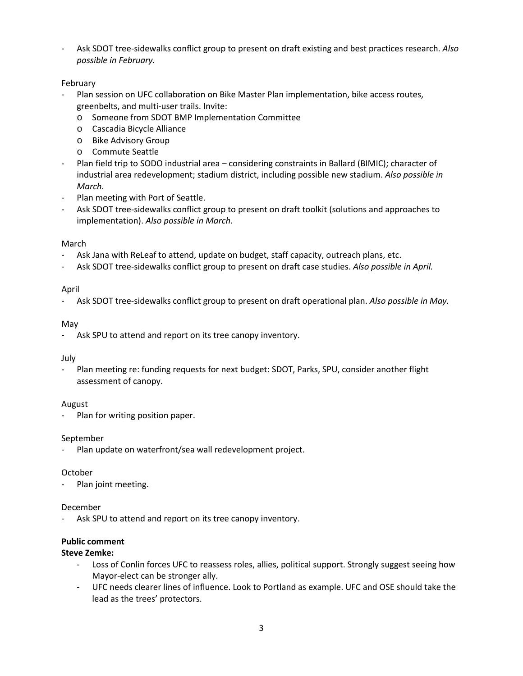- Ask SDOT tree-sidewalks conflict group to present on draft existing and best practices research. *Also possible in February.*

### February

- Plan session on UFC collaboration on Bike Master Plan implementation, bike access routes, greenbelts, and multi-user trails. Invite:
	- o Someone from SDOT BMP Implementation Committee
	- o Cascadia Bicycle Alliance
	- o Bike Advisory Group
	- o Commute Seattle
- Plan field trip to SODO industrial area considering constraints in Ballard (BIMIC); character of industrial area redevelopment; stadium district, including possible new stadium. *Also possible in March.*
- Plan meeting with Port of Seattle.
- Ask SDOT tree-sidewalks conflict group to present on draft toolkit (solutions and approaches to implementation). *Also possible in March.*

#### March

- Ask Jana with ReLeaf to attend, update on budget, staff capacity, outreach plans, etc.
- Ask SDOT tree-sidewalks conflict group to present on draft case studies. *Also possible in April.*

#### April

- Ask SDOT tree-sidewalks conflict group to present on draft operational plan. *Also possible in May.*

#### May

- Ask SPU to attend and report on its tree canopy inventory.

#### July

Plan meeting re: funding requests for next budget: SDOT, Parks, SPU, consider another flight assessment of canopy.

#### August

Plan for writing position paper.

#### September

Plan update on waterfront/sea wall redevelopment project.

#### October

Plan joint meeting.

#### December

Ask SPU to attend and report on its tree canopy inventory.

#### **Public comment**

#### **Steve Zemke:**

- Loss of Conlin forces UFC to reassess roles, allies, political support. Strongly suggest seeing how Mayor-elect can be stronger ally.
- UFC needs clearer lines of influence. Look to Portland as example. UFC and OSE should take the lead as the trees' protectors.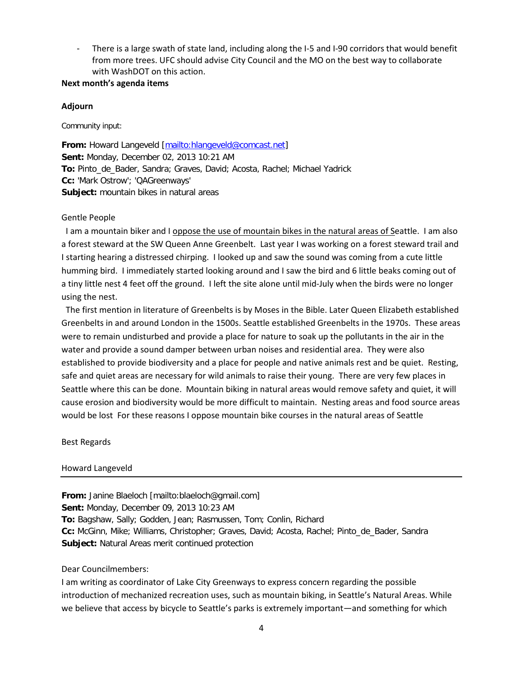There is a large swath of state land, including along the I-5 and I-90 corridors that would benefit from more trees. UFC should advise City Council and the MO on the best way to collaborate with WashDOT on this action.

#### **Next month's agenda items**

#### **Adjourn**

Community input:

From: Howard Langeveld [\[mailto:hlangeveld@comcast.net\]](mailto:hlangeveld@comcast.net) **Sent:** Monday, December 02, 2013 10:21 AM **To:** Pinto\_de\_Bader, Sandra; Graves, David; Acosta, Rachel; Michael Yadrick **Cc:** 'Mark Ostrow'; 'QAGreenways' **Subject:** mountain bikes in natural areas

#### Gentle People

I am a mountain biker and I oppose the use of mountain bikes in the natural areas of Seattle. I am also a forest steward at the SW Queen Anne Greenbelt. Last year I was working on a forest steward trail and I starting hearing a distressed chirping. I looked up and saw the sound was coming from a cute little humming bird. I immediately started looking around and I saw the bird and 6 little beaks coming out of a tiny little nest 4 feet off the ground. I left the site alone until mid-July when the birds were no longer using the nest.

The first mention in literature of Greenbelts is by Moses in the Bible. Later Queen Elizabeth established Greenbelts in and around London in the 1500s. Seattle established Greenbelts in the 1970s. These areas were to remain undisturbed and provide a place for nature to soak up the pollutants in the air in the water and provide a sound damper between urban noises and residential area. They were also established to provide biodiversity and a place for people and native animals rest and be quiet. Resting, safe and quiet areas are necessary for wild animals to raise their young. There are very few places in Seattle where this can be done. Mountain biking in natural areas would remove safety and quiet, it will cause erosion and biodiversity would be more difficult to maintain. Nesting areas and food source areas would be lost For these reasons I oppose mountain bike courses in the natural areas of Seattle

Best Regards

#### Howard Langeveld

**From:** Janine Blaeloch [mailto:blaeloch@gmail.com] **Sent:** Monday, December 09, 2013 10:23 AM **To:** Bagshaw, Sally; Godden, Jean; Rasmussen, Tom; Conlin, Richard **Cc:** McGinn, Mike; Williams, Christopher; Graves, David; Acosta, Rachel; Pinto\_de\_Bader, Sandra **Subject:** Natural Areas merit continued protection

#### Dear Councilmembers:

I am writing as coordinator of Lake City Greenways to express concern regarding the possible introduction of mechanized recreation uses, such as mountain biking, in Seattle's Natural Areas. While we believe that access by bicycle to Seattle's parks is extremely important—and something for which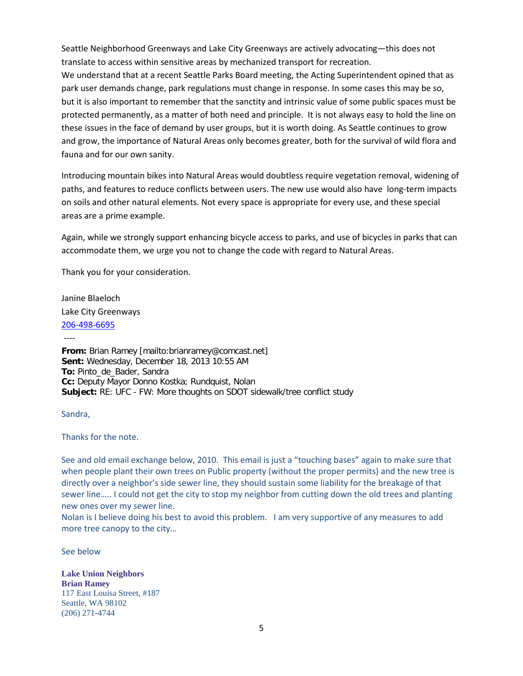Seattle Neighborhood Greenways and Lake City Greenways are actively advocating—this does not translate to access within sensitive areas by mechanized transport for recreation. We understand that at a recent Seattle Parks Board meeting, the Acting Superintendent opined that as park user demands change, park regulations must change in response. In some cases this may be so, but it is also important to remember that the sanctity and intrinsic value of some public spaces must be protected permanently, as a matter of both need and principle. It is not always easy to hold the line on these issues in the face of demand by user groups, but it is worth doing. As Seattle continues to grow and grow, the importance of Natural Areas only becomes greater, both for the survival of wild flora and fauna and for our own sanity.

Introducing mountain bikes into Natural Areas would doubtless require vegetation removal, widening of paths, and features to reduce conflicts between users. The new use would also have long-term impacts on soils and other natural elements. Not every space is appropriate for every use, and these special areas are a prime example.

Again, while we strongly support enhancing bicycle access to parks, and use of bicycles in parks that can accommodate them, we urge you not to change the code with regard to Natural Areas.

Thank you for your consideration.

Janine Blaeloch Lake City Greenways [206-498-6695](tel:206-498-6695)

----

**From:** Brian Ramey [mailto:brianramey@comcast.net] **Sent:** Wednesday, December 18, 2013 10:55 AM **To:** Pinto\_de\_Bader, Sandra **Cc:** Deputy Mayor Donno Kostka; Rundquist, Nolan **Subject:** RE: UFC - FW: More thoughts on SDOT sidewalk/tree conflict study

Sandra,

Thanks for the note.

See and old email exchange below, 2010. This email is just a "touching bases" again to make sure that when people plant their own trees on Public property (without the proper permits) and the new tree is directly over a neighbor's side sewer line, they should sustain some liability for the breakage of that sewer line….. I could not get the city to stop my neighbor from cutting down the old trees and planting new ones over my sewer line.

Nolan is I believe doing his best to avoid this problem. I am very supportive of any measures to add more tree canopy to the city…

See below

**Lake Union Neighbors Brian Ramey** 117 East Louisa Street, #187 Seattle, WA 98102 (206) 271-4744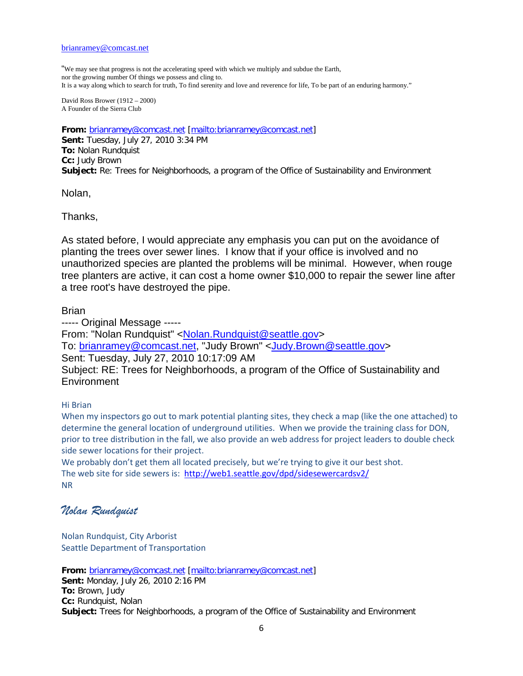"We may see that progress is not the accelerating speed with which we multiply and subdue the Earth, nor the growing number Of things we possess and cling to. It is a way along which to search for truth, To find serenity and love and reverence for life, To be part of an enduring harmony."

David Ross Brower (1912 – 2000) A Founder of the Sierra Club

**From:** [brianramey@comcast.net](mailto:brianramey@comcast.net) [\[mailto:brianramey@comcast.net\]](mailto:brianramey@comcast.net) **Sent:** Tuesday, July 27, 2010 3:34 PM **To:** Nolan Rundquist **Cc:** Judy Brown **Subject:** Re: Trees for Neighborhoods, a program of the Office of Sustainability and Environment

Nolan,

Thanks,

As stated before, I would appreciate any emphasis you can put on the avoidance of planting the trees over sewer lines. I know that if your office is involved and no unauthorized species are planted the problems will be minimal. However, when rouge tree planters are active, it can cost a home owner \$10,000 to repair the sewer line after a tree root's have destroyed the pipe.

Brian

----- Original Message ----- From: "Nolan Rundquist" [<Nolan.Rundquist@seattle.gov>](mailto:Nolan.Rundquist@seattle.gov) To: [brianramey@comcast.net,](mailto:brianramey@comcast.net) "Judy Brown" [<Judy.Brown@seattle.gov>](mailto:Judy.Brown@seattle.gov) Sent: Tuesday, July 27, 2010 10:17:09 AM Subject: RE: Trees for Neighborhoods, a program of the Office of Sustainability and **Environment** 

#### Hi Brian

When my inspectors go out to mark potential planting sites, they check a map (like the one attached) to determine the general location of underground utilities. When we provide the training class for DON, prior to tree distribution in the fall, we also provide an web address for project leaders to double check side sewer locations for their project.

We probably don't get them all located precisely, but we're trying to give it our best shot. The web site for side sewers is: <http://web1.seattle.gov/dpd/sidesewercardsv2/> NR

# *Nolan Rundquist*

Nolan Rundquist, City Arborist Seattle Department of Transportation

**From:** [brianramey@comcast.net](mailto:brianramey@comcast.net) [\[mailto:brianramey@comcast.net\]](mailto:brianramey@comcast.net) **Sent:** Monday, July 26, 2010 2:16 PM **To:** Brown, Judy **Cc:** Rundquist, Nolan **Subject:** Trees for Neighborhoods, a program of the Office of Sustainability and Environment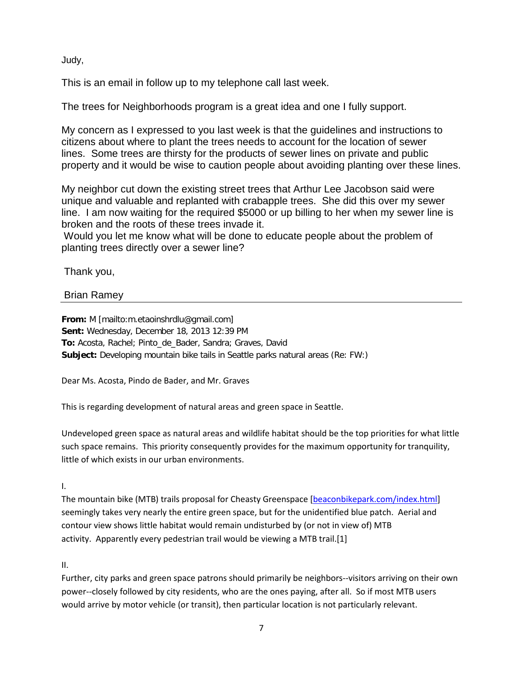Judy,

This is an email in follow up to my telephone call last week.

The trees for Neighborhoods program is a great idea and one I fully support.

My concern as I expressed to you last week is that the guidelines and instructions to citizens about where to plant the trees needs to account for the location of sewer lines. Some trees are thirsty for the products of sewer lines on private and public property and it would be wise to caution people about avoiding planting over these lines.

My neighbor cut down the existing street trees that Arthur Lee Jacobson said were unique and valuable and replanted with crabapple trees. She did this over my sewer line. I am now waiting for the required \$5000 or up billing to her when my sewer line is broken and the roots of these trees invade it.

Would you let me know what will be done to educate people about the problem of planting trees directly over a sewer line?

Thank you,

## Brian Ramey

**From:** M [mailto:m.etaoinshrdlu@gmail.com] **Sent:** Wednesday, December 18, 2013 12:39 PM **To:** Acosta, Rachel; Pinto\_de\_Bader, Sandra; Graves, David **Subject:** Developing mountain bike tails in Seattle parks natural areas (Re: FW:)

Dear Ms. Acosta, Pindo de Bader, and Mr. Graves

This is regarding development of natural areas and green space in Seattle.

Undeveloped green space as natural areas and wildlife habitat should be the top priorities for what little such space remains. This priority consequently provides for the maximum opportunity for tranquility, little of which exists in our urban environments.

I.

The mountain bike (MTB) trails proposal for Cheasty Greenspace [\[beaconbikepark.com/index.html\]](http://beaconbikepark.com/index.html) seemingly takes very nearly the entire green space, but for the unidentified blue patch. Aerial and contour view shows little habitat would remain undisturbed by (or not in view of) MTB activity. Apparently every pedestrian trail would be viewing a MTB trail.[1]

II.

Further, city parks and green space patrons should primarily be neighbors--visitors arriving on their own power--closely followed by city residents, who are the ones paying, after all. So if most MTB users would arrive by motor vehicle (or transit), then particular location is not particularly relevant.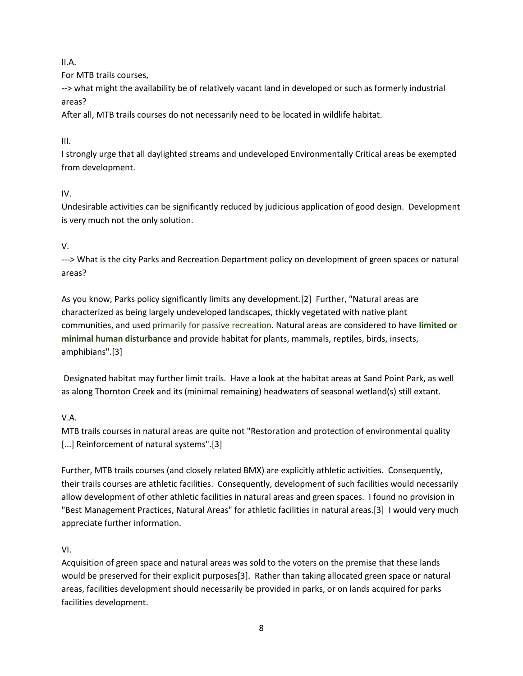II.A.

For MTB trails courses,

--> what might the availability be of relatively vacant land in developed or such as formerly industrial areas?

After all, MTB trails courses do not necessarily need to be located in wildlife habitat.

III.

I strongly urge that all daylighted streams and undeveloped Environmentally Critical areas be exempted from development.

# IV.

Undesirable activities can be significantly reduced by judicious application of good design. Development is very much not the only solution.

# V.

---> What is the city Parks and Recreation Department policy on development of green spaces or natural areas?

As you know, Parks policy significantly limits any development.[2] Further, "Natural areas are characterized as being largely undeveloped landscapes, thickly vegetated with native plant communities, and used primarily for passive recreation. Natural areas are considered to have **limited or minimal human disturbance** and provide habitat for plants, mammals, reptiles, birds, insects, amphibians".[3]

Designated habitat may further limit trails. Have a look at the habitat areas at Sand Point Park, as well as along Thornton Creek and its (minimal remaining) headwaters of seasonal wetland(s) still extant.

# V.A.

MTB trails courses in natural areas are quite not "Restoration and protection of environmental quality [...] Reinforcement of natural systems".[3]

Further, MTB trails courses (and closely related BMX) are explicitly athletic activities. Consequently, their trails courses are athletic facilities. Consequently, development of such facilities would necessarily allow development of other athletic facilities in natural areas and green spaces. I found no provision in "Best Management Practices, Natural Areas" for athletic facilities in natural areas.[3] I would very much appreciate further information.

# VI.

Acquisition of green space and natural areas was sold to the voters on the premise that these lands would be preserved for their explicit purposes[3]. Rather than taking allocated green space or natural areas, facilities development should necessarily be provided in parks, or on lands acquired for parks facilities development.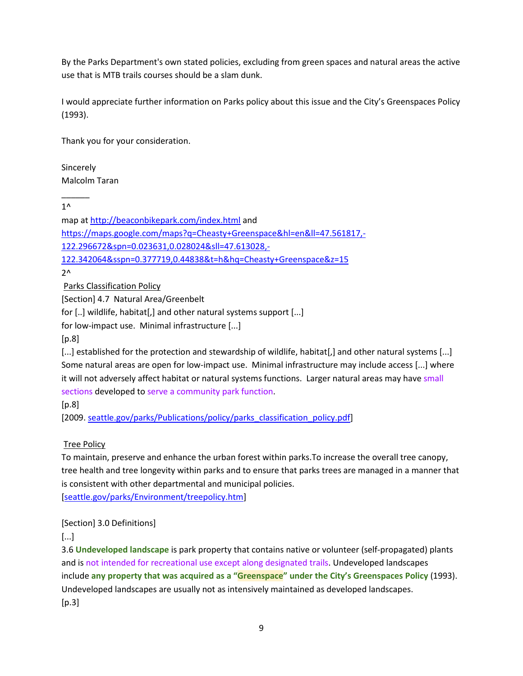By the Parks Department's own stated policies, excluding from green spaces and natural areas the active use that is MTB trails courses should be a slam dunk.

I would appreciate further information on Parks policy about this issue and the City's Greenspaces Policy (1993).

Thank you for your consideration.

**Sincerely** Malcolm Taran

 $1^{\wedge}$ 

 $\overline{\phantom{a}}$ 

map at<http://beaconbikepark.com/index.html> and [https://maps.google.com/maps?q=Cheasty+Greenspace&hl=en&ll=47.561817,-](https://maps.google.com/maps?q=Cheasty+Greenspace&hl=en&ll=47.561817,-122.296672&spn=0.023631,0.028024&sll=47.613028,-122.342064&sspn=0.377719,0.44838&t=h&hq=Cheasty+Greenspace&z=15) [122.296672&spn=0.023631,0.028024&sll=47.613028,-](https://maps.google.com/maps?q=Cheasty+Greenspace&hl=en&ll=47.561817,-122.296672&spn=0.023631,0.028024&sll=47.613028,-122.342064&sspn=0.377719,0.44838&t=h&hq=Cheasty+Greenspace&z=15) [122.342064&sspn=0.377719,0.44838&t=h&hq=Cheasty+Greenspace&z=15](https://maps.google.com/maps?q=Cheasty+Greenspace&hl=en&ll=47.561817,-122.296672&spn=0.023631,0.028024&sll=47.613028,-122.342064&sspn=0.377719,0.44838&t=h&hq=Cheasty+Greenspace&z=15)

 $2^{\wedge}$ 

Parks Classification Policy

[Section] 4.7 Natural Area/Greenbelt

for [..] wildlife, habitat[,] and other natural systems support [...]

for low-impact use. Minimal infrastructure [...]

 $[p.8]$ 

[...] established for the protection and stewardship of wildlife, habitat[,] and other natural systems [...] Some natural areas are open for low-impact use. Minimal infrastructure may include access [...] where it will not adversely affect habitat or natural systems functions. Larger natural areas may have small sections developed to serve a community park function.

 $[p.8]$ 

[2009. [seattle.gov/parks/Publications/policy/parks\\_classification\\_policy.pdf\]](http://www.seattle.gov/parks/Publications/policy/parks_classification_policy.pdf)

Tree Policy

To maintain, preserve and enhance the urban forest within parks.To increase the overall tree canopy, tree health and tree longevity within parks and to ensure that parks trees are managed in a manner that is consistent with other departmental and municipal policies.

[\[seattle.gov/parks/Environment/treepolicy.htm\]](http://seattle.gov/parks/Environment/treepolicy.htm)

### [Section] 3.0 Definitions]

[...]

3.6 **Undeveloped landscape** is park property that contains native or volunteer (self-propagated) plants and is not intended for recreational use except along designated trails. Undeveloped landscapes include **any property that was acquired as a "Greenspace" under the City's Greenspaces Policy** (1993). Undeveloped landscapes are usually not as intensively maintained as developed landscapes.  $[p.3]$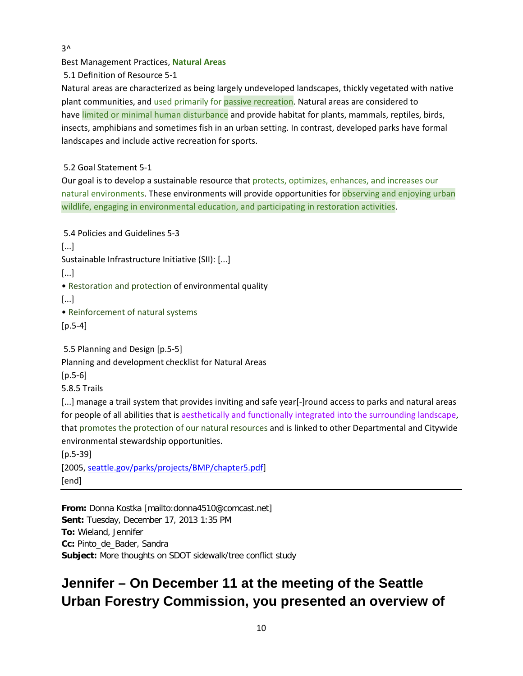$3^{\lambda}$ 

Best Management Practices, **Natural Areas**

5.1 Definition of Resource 5-1

Natural areas are characterized as being largely undeveloped landscapes, thickly vegetated with native plant communities, and used primarily for passive recreation. Natural areas are considered to have limited or minimal human disturbance and provide habitat for plants, mammals, reptiles, birds, insects, amphibians and sometimes fish in an urban setting. In contrast, developed parks have formal landscapes and include active recreation for sports.

5.2 Goal Statement 5-1

Our goal is to develop a sustainable resource that protects, optimizes, enhances, and increases our natural environments. These environments will provide opportunities for observing and enjoying urban wildlife, engaging in environmental education, and participating in restoration activities.

5.4 Policies and Guidelines 5-3 [...] Sustainable Infrastructure Initiative (SII): [...] [...] • Restoration and protection of environmental quality [...] • Reinforcement of natural systems [p.5-4] 5.5 Planning and Design [p.5-5] Planning and development checklist for Natural Areas [p.5-6] 5.8.5 Trails [...] manage a trail system that provides inviting and safe year[-]round access to parks and natural areas for people of all abilities that is aesthetically and functionally integrated into the surrounding landscape, that promotes the protection of our natural resources and is linked to other Departmental and Citywide environmental stewardship opportunities.

[p.5-39] [2005, [seattle.gov/parks/projects/BMP/chapter5.pdf\]](http://seattle.gov/parks/projects/BMP/chapter5.pdf) [end]

**From:** Donna Kostka [mailto:donna4510@comcast.net] **Sent:** Tuesday, December 17, 2013 1:35 PM **To:** Wieland, Jennifer **Cc:** Pinto\_de\_Bader, Sandra **Subject:** More thoughts on SDOT sidewalk/tree conflict study

# **Jennifer – On December 11 at the meeting of the Seattle Urban Forestry Commission, you presented an overview of**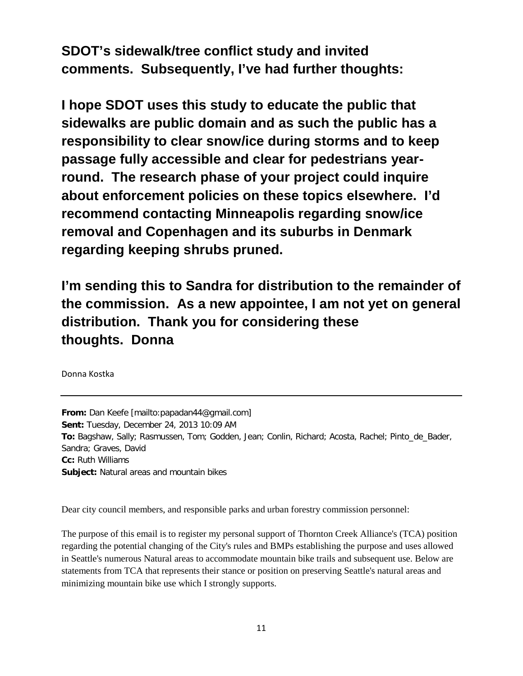**SDOT's sidewalk/tree conflict study and invited comments. Subsequently, I've had further thoughts:**

**I hope SDOT uses this study to educate the public that sidewalks are public domain and as such the public has a responsibility to clear snow/ice during storms and to keep passage fully accessible and clear for pedestrians yearround. The research phase of your project could inquire about enforcement policies on these topics elsewhere. I'd recommend contacting Minneapolis regarding snow/ice removal and Copenhagen and its suburbs in Denmark regarding keeping shrubs pruned.**

**I'm sending this to Sandra for distribution to the remainder of the commission. As a new appointee, I am not yet on general distribution. Thank you for considering these thoughts. Donna**

Donna Kostka

**From:** Dan Keefe [mailto:papadan44@gmail.com] **Sent:** Tuesday, December 24, 2013 10:09 AM **To:** Bagshaw, Sally; Rasmussen, Tom; Godden, Jean; Conlin, Richard; Acosta, Rachel; Pinto\_de\_Bader, Sandra; Graves, David **Cc:** Ruth Williams **Subject:** Natural areas and mountain bikes

Dear city council members, and responsible parks and urban forestry commission personnel:

The purpose of this email is to register my personal support of Thornton Creek Alliance's (TCA) position regarding the potential changing of the City's rules and BMPs establishing the purpose and uses allowed in Seattle's numerous Natural areas to accommodate mountain bike trails and subsequent use. Below are statements from TCA that represents their stance or position on preserving Seattle's natural areas and minimizing mountain bike use which I strongly supports.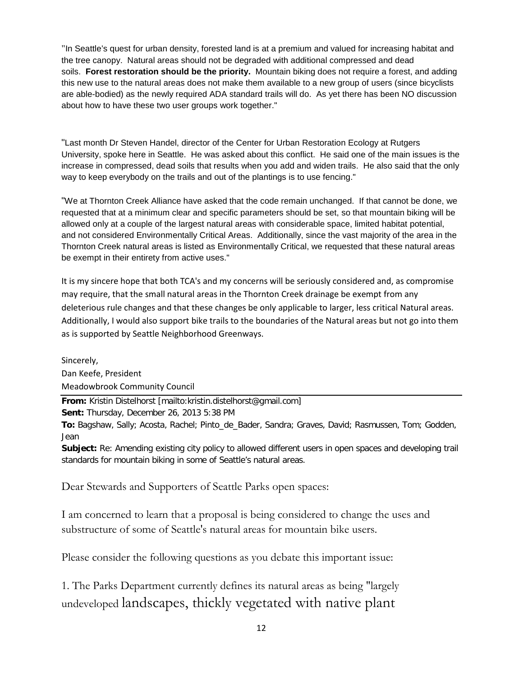"In Seattle's quest for urban density, forested land is at a premium and valued for increasing habitat and the tree canopy. Natural areas should not be degraded with additional compressed and dead soils. **Forest restoration should be the priority.** Mountain biking does not require a forest, and adding this new use to the natural areas does not make them available to a new group of users (since bicyclists are able-bodied) as the newly required ADA standard trails will do. As yet there has been NO discussion about how to have these two user groups work together."

"Last month Dr Steven Handel, director of the Center for Urban Restoration Ecology at Rutgers University, spoke here in Seattle. He was asked about this conflict. He said one of the main issues is the increase in compressed, dead soils that results when you add and widen trails. He also said that the only way to keep everybody on the trails and out of the plantings is to use fencing."

"We at Thornton Creek Alliance have asked that the code remain unchanged. If that cannot be done, we requested that at a minimum clear and specific parameters should be set, so that mountain biking will be allowed only at a couple of the largest natural areas with considerable space, limited habitat potential, and not considered Environmentally Critical Areas. Additionally, since the vast majority of the area in the Thornton Creek natural areas is listed as Environmentally Critical, we requested that these natural areas be exempt in their entirety from active uses."

It is my sincere hope that both TCA's and my concerns will be seriously considered and, as compromise may require, that the small natural areas in the Thornton Creek drainage be exempt from any deleterious rule changes and that these changes be only applicable to larger, less critical Natural areas. Additionally, I would also support bike trails to the boundaries of the Natural areas but not go into them as is supported by Seattle Neighborhood Greenways.

Sincerely, Dan Keefe, President Meadowbrook Community Council

**From:** Kristin Distelhorst [mailto:kristin.distelhorst@gmail.com]

**Sent:** Thursday, December 26, 2013 5:38 PM

**To:** Bagshaw, Sally; Acosta, Rachel; Pinto\_de\_Bader, Sandra; Graves, David; Rasmussen, Tom; Godden, Jean

**Subject:** Re: Amending existing city policy to allowed different users in open spaces and developing trail standards for mountain biking in some of Seattle's natural areas.

Dear Stewards and Supporters of Seattle Parks open spaces:

I am concerned to learn that a proposal is being considered to change the uses and substructure of some of Seattle's natural areas for mountain bike users.

Please consider the following questions as you debate this important issue:

1. The Parks Department currently defines its natural areas as being "largely undeveloped landscapes, thickly vegetated with native plant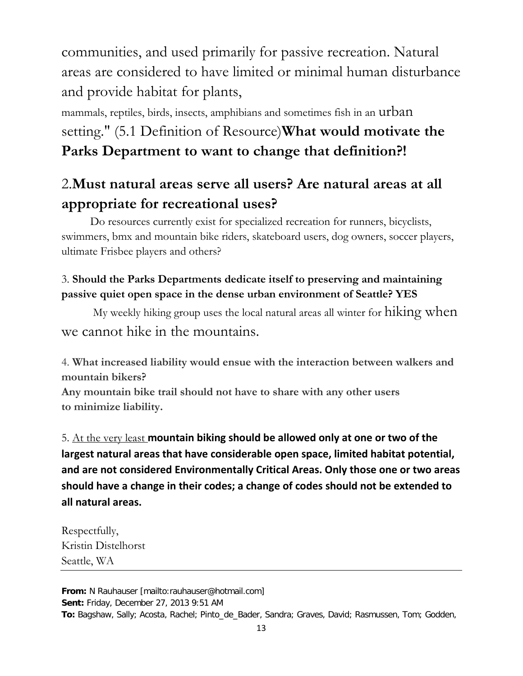communities, and used primarily for passive recreation. Natural areas are considered to have limited or minimal human disturbance and provide habitat for plants,

mammals, reptiles, birds, insects, amphibians and sometimes fish in an urban setting." (5.1 Definition of Resource)**What would motivate the Parks Department to want to change that definition?!**

# 2.**Must natural areas serve all users? Are natural areas at all appropriate for recreational uses?**

Do resources currently exist for specialized recreation for runners, bicyclists, swimmers, bmx and mountain bike riders, skateboard users, dog owners, soccer players, ultimate Frisbee players and others?

# 3. **Should the Parks Departments dedicate itself to preserving and maintaining passive quiet open space in the dense urban environment of Seattle? YES**

My weekly hiking group uses the local natural areas all winter for hiking when we cannot hike in the mountains.

4. **What increased liability would ensue with the interaction between walkers and mountain bikers?**

**Any mountain bike trail should not have to share with any other users to minimize liability.**

5. At the very least **mountain biking should be allowed only at one or two of the largest natural areas that have considerable open space, limited habitat potential, and are not considered Environmentally Critical Areas. Only those one or two areas should have a change in their codes; a change of codes should not be extended to all natural areas.**

Respectfully, Kristin Distelhorst Seattle, WA

**From:** N Rauhauser [mailto:rauhauser@hotmail.com] **Sent:** Friday, December 27, 2013 9:51 AM **To:** Bagshaw, Sally; Acosta, Rachel; Pinto\_de\_Bader, Sandra; Graves, David; Rasmussen, Tom; Godden,